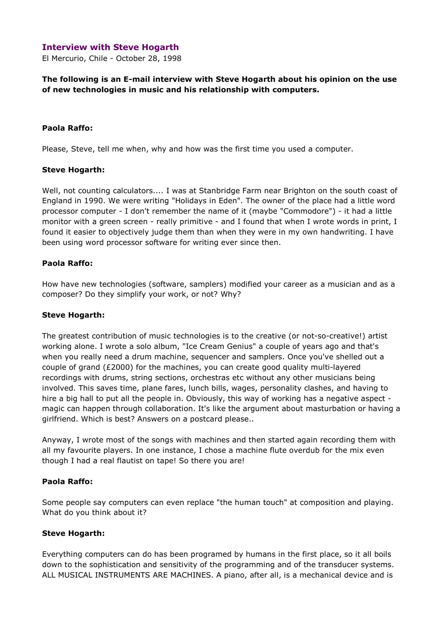## Interview with Steve Hogarth

El Mercurio, Chile - October 28, 1998

The following is an E-mail interview with Steve Hogarth about his opinion on the use of new technologies in music and his relationship with computers.

#### Paola Raffo:

Please, Steve, tell me when, why and how was the first time you used a computer.

#### Steve Hogarth:

Well, not counting calculators.... I was at Stanbridge Farm near Brighton on the south coast of England in 1990. We were writing "Holidays in Eden". The owner of the place had a little word processor computer - I don't remember the name of it (maybe "Commodore") - it had a little monitor with a green screen - really primitive - and I found that when I wrote words in print, I found it easier to objectively judge them than when they were in my own handwriting. I have been using word processor software for writing ever since then.

## Paola Raffo:

How have new technologies (software, samplers) modified your career as a musician and as a composer? Do they simplify your work, or not? Why?

#### Steve Hogarth:

The greatest contribution of music technologies is to the creative (or not-so-creative!) artist working alone. I wrote a solo album, "Ice Cream Genius" a couple of years ago and that's when you really need a drum machine, sequencer and samplers. Once you've shelled out a couple of grand (£2000) for the machines, you can create good quality multi-layered recordings with drums, string sections, orchestras etc without any other musicians being involved. This saves time, plane fares, lunch bills, wages, personality clashes, and having to hire a big hall to put all the people in. Obviously, this way of working has a negative aspect magic can happen through collaboration. It's like the argument about masturbation or having a girlfriend. Which is best? Answers on a postcard please..

Anyway, I wrote most of the songs with machines and then started again recording them with all my favourite players. In one instance, I chose a machine flute overdub for the mix even though I had a real flautist on tape! So there you are!

#### Paola Raffo:

Some people say computers can even replace "the human touch" at composition and playing. What do you think about it?

## Steve Hogarth:

Everything computers can do has been programed by humans in the first place, so it all boils down to the sophistication and sensitivity of the programming and of the transducer systems. ALL MUSICAL INSTRUMENTS ARE MACHINES. A piano, after all, is a mechanical device and is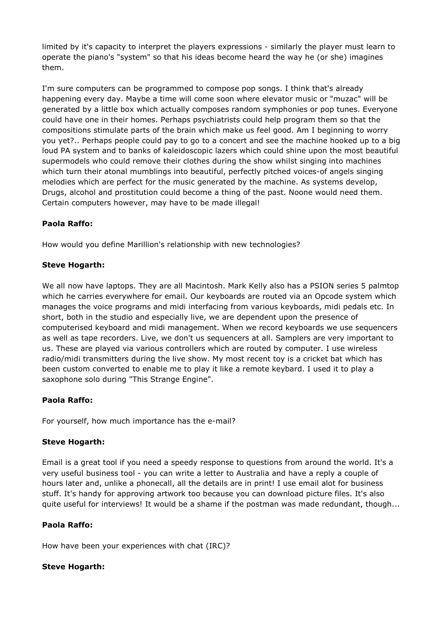limited by it's capacity to interpret the players expressions - similarly the player must learn to operate the piano's "system" so that his ideas become heard the way he (or she) imagines them.

I'm sure computers can be programmed to compose pop songs. I think that's already happening every day. Maybe a time will come soon where elevator music or "muzac" will be generated by a little box which actually composes random symphonies or pop tunes. Everyone could have one in their homes. Perhaps psychiatrists could help program them so that the compositions stimulate parts of the brain which make us feel good. Am I beginning to worry you yet?.. Perhaps people could pay to go to a concert and see the machine hooked up to a big loud PA system and to banks of kaleidoscopic lazers which could shine upon the most beautiful supermodels who could remove their clothes during the show whilst singing into machines which turn their atonal mumblings into beautiful, perfectly pitched voices-of angels singing melodies which are perfect for the music generated by the machine. As systems develop, Drugs, alcohol and prostitution could become a thing of the past. Noone would need them. Certain computers however, may have to be made illegal!

# Paola Raffo:

How would you define Marillion's relationship with new technologies?

# Steve Hogarth:

We all now have laptops. They are all Macintosh. Mark Kelly also has a PSION series 5 palmtop which he carries everywhere for email. Our keyboards are routed via an Opcode system which manages the voice programs and midi interfacing from various keyboards, midi pedals etc. In short, both in the studio and especially live, we are dependent upon the presence of computerised keyboard and midi management. When we record keyboards we use sequencers as well as tape recorders. Live, we don't us sequencers at all. Samplers are very important to us. These are played via various controllers which are routed by computer. I use wireless radio/midi transmitters during the live show. My most recent toy is a cricket bat which has been custom converted to enable me to play it like a remote keybard. I used it to play a saxophone solo during "This Strange Engine".

# Paola Raffo:

For yourself, how much importance has the e-mail?

## Steve Hogarth:

Email is a great tool if you need a speedy response to questions from around the world. It's a very useful business tool - you can write a letter to Australia and have a reply a couple of hours later and, unlike a phonecall, all the details are in print! I use email alot for business stuff. It's handy for approving artwork too because you can download picture files. It's also quite useful for interviews! It would be a shame if the postman was made redundant, though...

## Paola Raffo:

How have been your experiences with chat (IRC)?

## Steve Hogarth: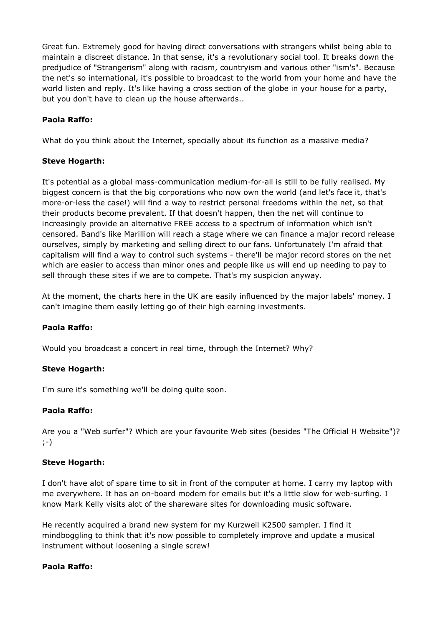Great fun. Extremely good for having direct conversations with strangers whilst being able to maintain a discreet distance. In that sense, it's a revolutionary social tool. It breaks down the predjudice of "Strangerism" along with racism, countryism and various other "ism's". Because the net's so international, it's possible to broadcast to the world from your home and have the world listen and reply. It's like having a cross section of the globe in your house for a party, but you don't have to clean up the house afterwards..

# Paola Raffo:

What do you think about the Internet, specially about its function as a massive media?

## Steve Hogarth:

It's potential as a global mass-communication medium-for-all is still to be fully realised. My biggest concern is that the big corporations who now own the world (and let's face it, that's more-or-less the case!) will find a way to restrict personal freedoms within the net, so that their products become prevalent. If that doesn't happen, then the net will continue to increasingly provide an alternative FREE access to a spectrum of information which isn't censored. Band's like Marillion will reach a stage where we can finance a major record release ourselves, simply by marketing and selling direct to our fans. Unfortunately I'm afraid that capitalism will find a way to control such systems - there'll be major record stores on the net which are easier to access than minor ones and people like us will end up needing to pay to sell through these sites if we are to compete. That's my suspicion anyway.

At the moment, the charts here in the UK are easily influenced by the major labels' money. I can't imagine them easily letting go of their high earning investments.

## Paola Raffo:

Would you broadcast a concert in real time, through the Internet? Why?

## Steve Hogarth:

I'm sure it's something we'll be doing quite soon.

## Paola Raffo:

Are you a "Web surfer"? Which are your favourite Web sites (besides "The Official H Website")? ;-)

## Steve Hogarth:

I don't have alot of spare time to sit in front of the computer at home. I carry my laptop with me everywhere. It has an on-board modem for emails but it's a little slow for web-surfing. I know Mark Kelly visits alot of the shareware sites for downloading music software.

He recently acquired a brand new system for my Kurzweil K2500 sampler. I find it mindboggling to think that it's now possible to completely improve and update a musical instrument without loosening a single screw!

## Paola Raffo: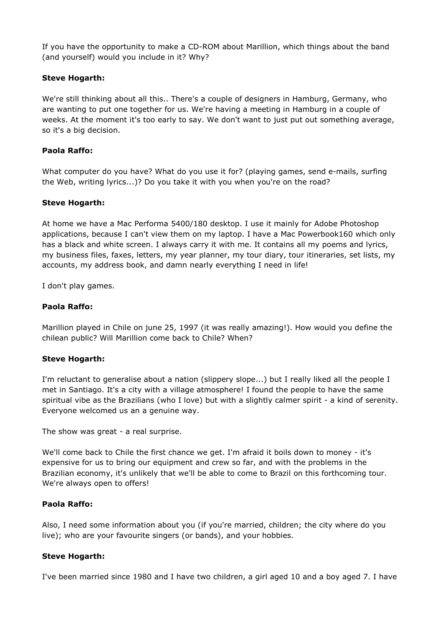If you have the opportunity to make a CD-ROM about Marillion, which things about the band (and yourself) would you include in it? Why?

## Steve Hogarth:

We're still thinking about all this.. There's a couple of designers in Hamburg, Germany, who are wanting to put one together for us. We're having a meeting in Hamburg in a couple of weeks. At the moment it's too early to say. We don't want to just put out something average, so it's a big decision.

#### Paola Raffo:

What computer do you have? What do you use it for? (playing games, send e-mails, surfing the Web, writing lyrics...)? Do you take it with you when you're on the road?

#### Steve Hogarth:

At home we have a Mac Performa 5400/180 desktop. I use it mainly for Adobe Photoshop applications, because I can't view them on my laptop. I have a Mac Powerbook160 which only has a black and white screen. I always carry it with me. It contains all my poems and lyrics, my business files, faxes, letters, my year planner, my tour diary, tour itineraries, set lists, my accounts, my address book, and damn nearly everything I need in life!

I don't play games.

#### Paola Raffo:

Marillion played in Chile on june 25, 1997 (it was really amazing!). How would you define the chilean public? Will Marillion come back to Chile? When?

#### Steve Hogarth:

I'm reluctant to generalise about a nation (slippery slope...) but I really liked all the people I met in Santiago. It's a city with a village atmosphere! I found the people to have the same spiritual vibe as the Brazilians (who I love) but with a slightly calmer spirit - a kind of serenity. Everyone welcomed us an a genuine way.

The show was great - a real surprise.

We'll come back to Chile the first chance we get. I'm afraid it boils down to money - it's expensive for us to bring our equipment and crew so far, and with the problems in the Brazilian economy, it's unlikely that we'll be able to come to Brazil on this forthcoming tour. We're always open to offers!

#### Paola Raffo:

Also, I need some information about you (if you're married, children; the city where do you live); who are your favourite singers (or bands), and your hobbies.

#### Steve Hogarth:

I've been married since 1980 and I have two children, a girl aged 10 and a boy aged 7. I have